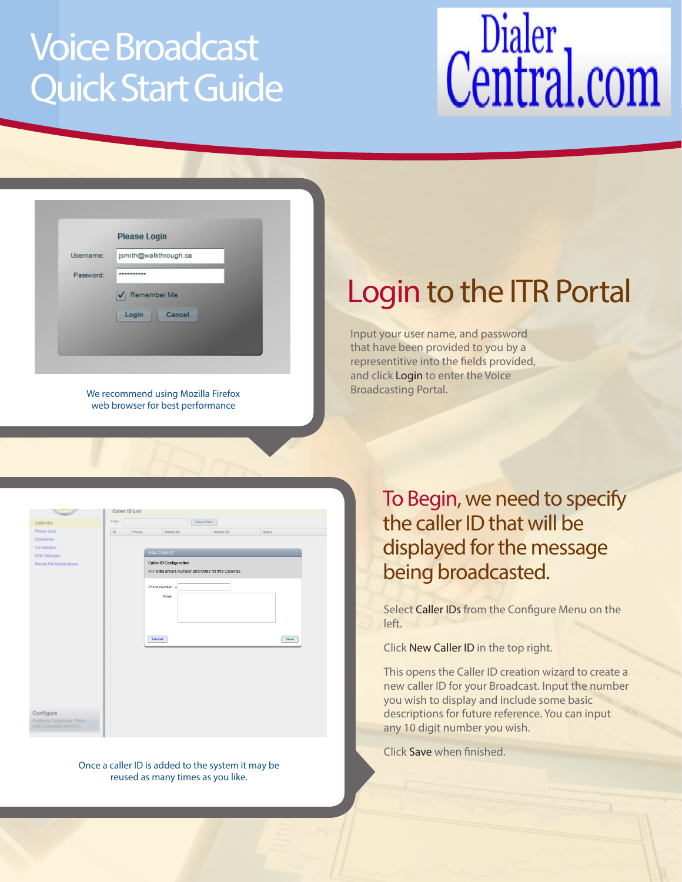### Voice Broadcast Quick Start Guide

# Central.com

| Username: | jsmith@walkthrough.ca |
|-----------|-----------------------|
| Password: | **********            |
|           | Remember Me<br>✔      |
|           | Login<br>Cancel       |

We recommend using Mozilla Firefox web browser for best performance

### Login to the ITR Portal

Input your user name, and password that have been provided to you by a representitive into the fields provided, and click Login to enter the Voice Broadcasting Portal.

|                                 |              | Caller ID List |                                |                                                        |       |      |
|---------------------------------|--------------|----------------|--------------------------------|--------------------------------------------------------|-------|------|
| Caller IDs                      | Filter.      |                |                                | Clear Filter                                           |       |      |
| <b>Phone Lists</b>              | $\mathbb{D}$ | Phone          | Added By                       | Added On                                               | Notes |      |
| Schedules                       |              |                |                                |                                                        |       |      |
| Campaigns                       |              |                |                                |                                                        |       |      |
| <b>DNC Manager</b>              |              |                | New Caller ID                  |                                                        |       |      |
| <b>Result File Destinations</b> |              |                | <b>Caller ID Configuration</b> |                                                        |       |      |
|                                 |              |                |                                | Fill in the phone number and notes for this Caller ID. |       |      |
|                                 |              |                |                                |                                                        |       |      |
|                                 |              |                | Phone Number: *                |                                                        |       |      |
|                                 |              |                | Notes:                         |                                                        |       |      |
|                                 |              |                |                                |                                                        |       |      |
|                                 |              |                |                                |                                                        |       |      |
|                                 |              |                |                                |                                                        |       |      |
|                                 |              |                |                                |                                                        |       |      |
|                                 |              |                | Cancel                         |                                                        |       | Save |
|                                 |              |                |                                |                                                        |       |      |
|                                 |              |                |                                |                                                        |       |      |
|                                 |              |                |                                |                                                        |       |      |
|                                 |              |                |                                |                                                        |       |      |
|                                 |              |                |                                |                                                        |       |      |
|                                 |              |                |                                |                                                        |       |      |
|                                 |              |                |                                |                                                        |       |      |
|                                 |              |                |                                |                                                        |       |      |
| Configure                       |              |                |                                |                                                        |       |      |
| Configure Campaigns, Phone      |              |                |                                |                                                        |       |      |
|                                 |              |                |                                |                                                        |       |      |

Once a caller ID is added to the system it may be reused as many times as you like.

To Begin, we need to specify the caller ID that will be displayed for the message being broadcasted.

Select Caller IDs from the Configure Menu on the left.

Click New Caller ID in the top right.

This opens the Caller ID creation wizard to create a new caller ID for your Broadcast. Input the number you wish to display and include some basic descriptions for future reference. You can input any 10 digit number you wish.

Click Save when finished.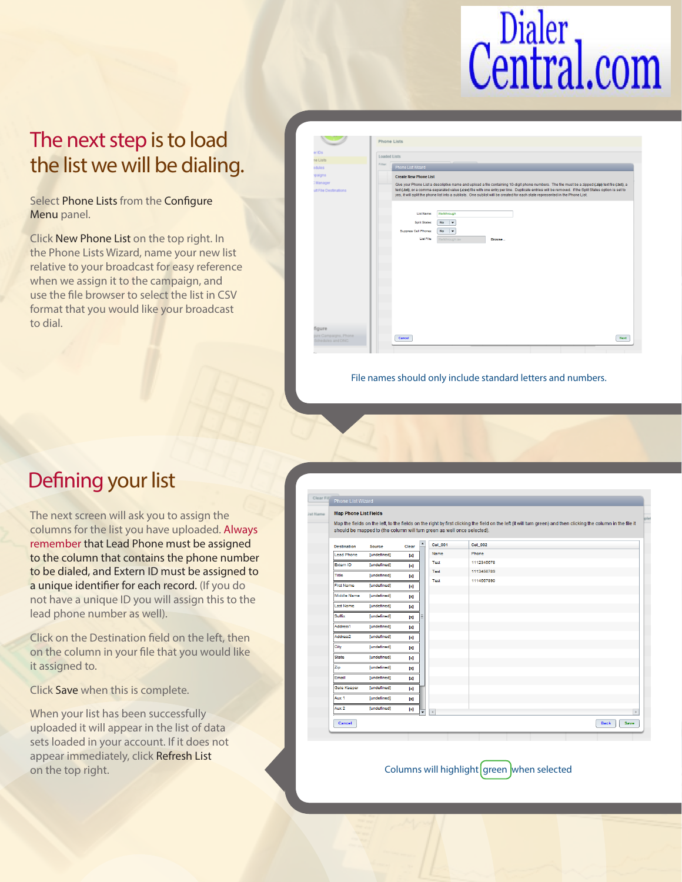# Central.com

### The next step is to load the list we will be dialing.

Select Phone Lists from the Configure Menu panel.

Click New Phone List on the top right. In the Phone Lists Wizard, name your new list relative to your broadcast for easy reference when we assign it to the campaign, and use the file browser to select the list in CSV format that you would like your broadcast to dial.

| er IDs                |                                                                                                                                                                                                                                                                                      |
|-----------------------|--------------------------------------------------------------------------------------------------------------------------------------------------------------------------------------------------------------------------------------------------------------------------------------|
| ne Lists              | <b>Loaded Lists</b>                                                                                                                                                                                                                                                                  |
| edules                | Filter:<br>Phone List Wizard                                                                                                                                                                                                                                                         |
| sngiagr               | <b>Create New Phone List</b>                                                                                                                                                                                                                                                         |
| : Manager             | Give your Phone List a descriptive name and upload a file containing 10-digit phone numbers. The file must be a zipped (.zip) text file (.txt), a                                                                                                                                    |
| ult File Destinations | text (.txt), or a comma-separated value (.csv) file with one entry per line. Duplicate entries will be removed. If the Split States option is set to<br>yes, it will split the phone list into a sublists. One sublist will be created for each state represented in the Phone List. |
|                       | Walkthrough<br><b>List Name:</b>                                                                                                                                                                                                                                                     |
|                       | <b>No</b><br><b>Split States:</b><br>$\vert \cdot$                                                                                                                                                                                                                                   |
|                       | Suppress Cell Phones:<br><b>No</b><br>$\overline{\phantom{a}}$                                                                                                                                                                                                                       |
|                       | List File:<br>Walkthrough.csv<br>Browse                                                                                                                                                                                                                                              |
|                       |                                                                                                                                                                                                                                                                                      |
|                       |                                                                                                                                                                                                                                                                                      |
|                       |                                                                                                                                                                                                                                                                                      |
|                       |                                                                                                                                                                                                                                                                                      |
|                       |                                                                                                                                                                                                                                                                                      |
|                       |                                                                                                                                                                                                                                                                                      |
|                       |                                                                                                                                                                                                                                                                                      |
|                       |                                                                                                                                                                                                                                                                                      |
|                       |                                                                                                                                                                                                                                                                                      |
|                       |                                                                                                                                                                                                                                                                                      |
|                       |                                                                                                                                                                                                                                                                                      |
| figure                |                                                                                                                                                                                                                                                                                      |
| pure Campaigns, Phone | Cancel<br><b>Next</b>                                                                                                                                                                                                                                                                |

File names should only include standard letters and numbers.

#### Defining your list

The next screen will ask you to assign the columns for the list you have uploaded. Always remember that Lead Phone must be assigned to the column that contains the phone number to be dialed, and Extern ID must be assigned to a unique identifier for each record. (If you do not have a unique ID you will assign this to the lead phone number as well).

Click on the Destination field on the left, then on the column in your file that you would like it assigned to.

Click Save when this is complete.

When your list has been successfully uploaded it will appear in the list of data sets loaded in your account. If it does not appear immediately, click Refresh List on the top right.

| <b>Map Phone List Fields</b> |                                                                         |                  |                  |                 |                                                                                                                                                                 |  |
|------------------------------|-------------------------------------------------------------------------|------------------|------------------|-----------------|-----------------------------------------------------------------------------------------------------------------------------------------------------------------|--|
|                              | should be mapped to (the column will turn green as well once selected). |                  |                  |                 | Map the fields on the left, to the fields on the right by first clicking the field on the left (it will turn green) and then clicking the column in the file it |  |
| <b>Destination</b>           | <b>Source</b>                                                           | Clear            | $\blacktriangle$ | <b>Col</b> _001 | <b>Col</b> _002                                                                                                                                                 |  |
| <b>Lead Phone</b>            | [undefined]                                                             | $[ \mathbf{x} ]$ |                  | Name            | Phone                                                                                                                                                           |  |
| Extern ID                    | [undefined]                                                             | $\mathbf{x}$     |                  | Test            | 1112345678                                                                                                                                                      |  |
| Title                        | [undefined]                                                             | $[ \mathbf{x} ]$ |                  | Test            | 1113456789                                                                                                                                                      |  |
| <b>First Name</b>            | [undefined]                                                             | $\mathbf{x}$     |                  | Test            | 1114567890                                                                                                                                                      |  |
| Middle Name                  | [undefined]                                                             | $[ \mathbf{x} ]$ |                  |                 |                                                                                                                                                                 |  |
| <b>Last Name</b>             | [undefined]                                                             | $\mathbf{x}$     |                  |                 |                                                                                                                                                                 |  |
| Suffix                       | [undefined]                                                             | $[ \mathbf{x} ]$ |                  |                 |                                                                                                                                                                 |  |
| Address1                     | [undefined]                                                             | $\mathbf{x}$     |                  |                 |                                                                                                                                                                 |  |
| Address <sub>2</sub>         | [undefined]                                                             | $[ \mathbf{x} ]$ |                  |                 |                                                                                                                                                                 |  |
| City                         | [undefined]                                                             | ÞЯ               |                  |                 |                                                                                                                                                                 |  |
| <b>State</b>                 | [undefined]                                                             | $[ \times ]$     |                  |                 |                                                                                                                                                                 |  |
| Zip                          | [undefined]                                                             | ÞЯ               |                  |                 |                                                                                                                                                                 |  |
| Email                        | [undefined]                                                             | $[ \mathbf{x} ]$ |                  |                 |                                                                                                                                                                 |  |
| <b>Gate Keeper</b>           | [undefined]                                                             | [x]              |                  |                 |                                                                                                                                                                 |  |
| Aux 1                        | [undefined]                                                             | $[ \mathbf{x} ]$ |                  |                 |                                                                                                                                                                 |  |
| Aux 2                        | [undefined]                                                             | $[ \mathbf{x} ]$ |                  |                 |                                                                                                                                                                 |  |

Columns will highlight green when selected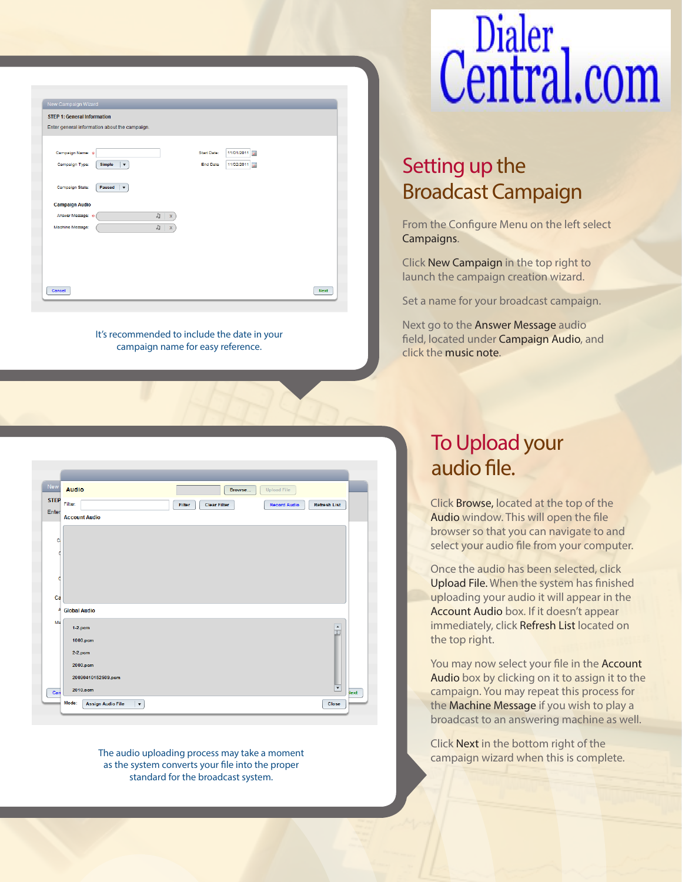| 11/01/2011<br>Start Date:<br>扁     |
|------------------------------------|
|                                    |
| <b>End Date</b><br>11/02/2011<br>扁 |
|                                    |
|                                    |
|                                    |
| <b>Next</b>                        |
|                                    |

It's recommended to include the date in your campaign name for easy reference.

| New         | <b>Audio</b>         | Browse                        | <b>Upload File</b>                         |                      |
|-------------|----------------------|-------------------------------|--------------------------------------------|----------------------|
| <b>STEP</b> | Filter:              | Filter<br><b>Clear Filter</b> | <b>Record Audio</b><br><b>Refresh List</b> |                      |
| Enter       | <b>Account Audio</b> |                               |                                            |                      |
|             |                      |                               |                                            |                      |
| C.          |                      |                               |                                            |                      |
|             |                      |                               |                                            |                      |
|             |                      |                               |                                            |                      |
|             |                      |                               |                                            |                      |
| Ca          |                      |                               |                                            |                      |
| A           | <b>Global Audio</b>  |                               |                                            |                      |
| Ms          | $1-2.$ pcm           |                               |                                            |                      |
|             | 1000.pcm             |                               |                                            | $\frac{1}{\Xi}$      |
|             | $2-2.$ pcm           |                               |                                            |                      |
|             | 2000.pcm             |                               |                                            |                      |
|             | 20090410152509.pcm   |                               |                                            |                      |
|             |                      |                               |                                            | $\blacktriangledown$ |

The audio uploading process may take a moment as the system converts your file into the proper standard for the broadcast system.

# Central.com

### Setting up the Broadcast Campaign

From the Configure Menu on the left select Campaigns.

Click New Campaign in the top right to launch the campaign creation wizard.

Set a name for your broadcast campaign.

Next go to the Answer Message audio field, located under Campaign Audio, and click the music note.

### To Upload your audio file.

Click Browse, located at the top of the Audio window. This will open the file browser so that you can navigate to and select your audio file from your computer.

Once the audio has been selected, click Upload File. When the system has finished uploading your audio it will appear in the Account Audio box. If it doesn't appear immediately, click Refresh List located on the top right.

You may now select your file in the **Account** Audio box by clicking on it to assign it to the campaign. You may repeat this process for the Machine Message if you wish to play a broadcast to an answering machine as well.

Click Next in the bottom right of the campaign wizard when this is complete.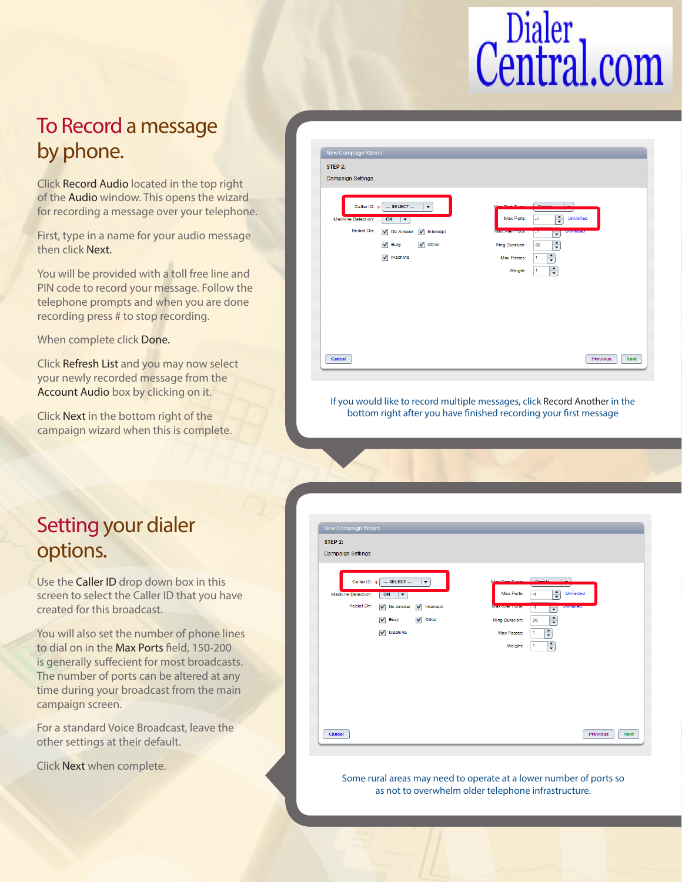## Central.com

### To Record a message by phone.

Click Record Audio located in the top right of the Audio window. This opens the wizard for recording a message over your telephone.

First, type in a name for your audio message then click Next.

You will be provided with a toll free line and PIN code to record your message. Follow the telephone prompts and when you are done recording press # to stop recording.

When complete click Done.

Click Refresh List and you may now select your newly recorded message from the Account Audio box by clicking on it.

Click Next in the bottom right of the campaign wizard when this is complete.

| Campaign Settings.                                                                                                |                                                                                             |
|-------------------------------------------------------------------------------------------------------------------|---------------------------------------------------------------------------------------------|
| $-$ SELECT $-$<br>Caller ID: *<br>$\blacktriangledown$<br><b>Machine Detection:</b><br>ON<br>$\blacktriangledown$ | <b>Provident</b><br>$\frac{1}{\sqrt{2}}$<br><b>Unlimited</b><br>Max Ports:<br>$\mathcal{A}$ |
| Redial On:<br>V No Answer<br>$\sqrt{}$ Intercept                                                                  | Мику дина социа<br><b>CHIMINES</b><br>Ŧ.<br>$\overline{\phantom{a}}$                        |
| Other<br>Busy<br>$\overline{\mathsf{v}}$<br>$\overline{\mathsf{v}}$                                               | $\div$<br>Ring Duration:<br>30                                                              |
| $\sqrt{\phantom{a}}$ Machine                                                                                      | $\div$<br>Max Passes:<br>1                                                                  |
|                                                                                                                   | $\div$<br>Weight:<br>1                                                                      |
|                                                                                                                   |                                                                                             |
|                                                                                                                   |                                                                                             |
|                                                                                                                   |                                                                                             |
|                                                                                                                   |                                                                                             |
|                                                                                                                   |                                                                                             |

If you would like to record multiple messages, click Record Another in the bottom right after you have finished recording your first message

### Setting your dialer options.

Use the Caller ID drop down box in this screen to select the Caller ID that you have created for this broadcast.

You will also set the number of phone lines to dial on in the Max Ports field, 150-200 is generally suffecient for most broadcasts. The number of ports can be altered at any time during your broadcast from the main campaign screen.

For a standard Voice Broadcast, leave the other settings at their default.

Click Next when complete.

| New Campaign Wizard                                                       |                                                                          |
|---------------------------------------------------------------------------|--------------------------------------------------------------------------|
| STEP 2:                                                                   |                                                                          |
| Campaign Settings.                                                        |                                                                          |
| Caller ID: *<br>$-$ SELECT $-$<br>$\blacktriangledown$                    | المستط                                                                   |
| ON<br><b>Machine Detection:</b><br>$\blacktriangledown$                   | $\div$<br>Max Ports:<br><b>Unlimited</b><br>$-1$                         |
| Redial On:<br>$\sqrt{}$ Intercept<br>$\overline{\mathsf{v}}$<br>No Answer | <b>MISS ARE POINT</b><br><b>UMMINES</b><br>т.<br>$\overline{\mathbf{v}}$ |
| $\blacktriangledown$<br>Other<br>⊽<br>Busy                                | $\div$<br>30<br>Ring Duration:                                           |
| $\sqrt{\phantom{a}}$ Machine                                              | $\div$<br>Max Passes:<br>$\mathbf{1}$                                    |
|                                                                           | ÷<br>Weight:<br>$\mathbf{1}$                                             |
|                                                                           |                                                                          |
|                                                                           |                                                                          |
|                                                                           |                                                                          |
|                                                                           |                                                                          |
|                                                                           |                                                                          |
| Cancel                                                                    | <b>Previous</b><br><b>Next</b>                                           |

Some rural areas may need to operate at a lower number of ports so as not to overwhelm older telephone infrastructure.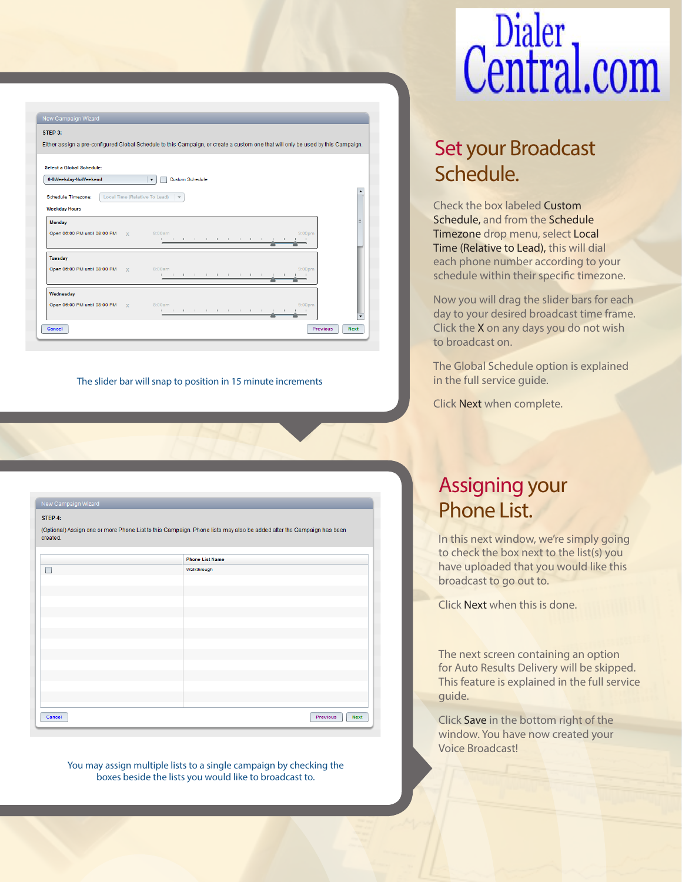#### STEP 3: Either assign a pre-configured Global Schedule to this Campaign, or create a custom one that will only be used by this Campaign. **Select a Global Schedule** 6-8Weekday-NoWeekend  $\boxed{\blacktriangledown}$  Custom Schedule Schedule Timezone: Local Time (Relative To Lead)  $\mathbf{v}$ **Weekday Hours** Monday Open 06:00 PM until 08:00 PM Tuesday Open 06:00 PM until 08:00 PM **Wednesday** Open 06:00 PM until 08:00 PM  $\alpha$  ,  $\alpha$  ,  $\alpha$ Previous Next Cancel

The slider bar will snap to position in 15 minute increments

#### New Campaign Wizard STEP 4:

(Optional) Assign one or more Phone List to this Campaign. Phone lists may also be added after the Campaign has been created

|        | <b>Phone List Name</b> |                                |
|--------|------------------------|--------------------------------|
| г      | Walkthrough            |                                |
|        |                        |                                |
|        |                        |                                |
|        |                        |                                |
|        |                        |                                |
|        |                        |                                |
|        |                        |                                |
|        |                        |                                |
|        |                        |                                |
|        |                        |                                |
|        |                        |                                |
|        |                        |                                |
|        |                        |                                |
|        |                        |                                |
| Cancel |                        | <b>Previous</b><br><b>Next</b> |

You may assign multiple lists to a single campaign by checking the boxes beside the lists you would like to broadcast to.

## Central.com

### Set your Broadcast Schedule.

Check the box labeled Custom Schedule, and from the Schedule Timezone drop menu, select Local Time (Relative to Lead), this will dial each phone number according to your schedule within their specific timezone.

Now you will drag the slider bars for each day to your desired broadcast time frame. Click the X on any days you do not wish to broadcast on.

The Global Schedule option is explained in the full service guide.

Click Next when complete.

### Assigning your Phone List.

In this next window, we're simply going to check the box next to the list(s) you have uploaded that you would like this broadcast to go out to.

Click Next when this is done.

The next screen containing an option for Auto Results Delivery will be skipped. This feature is explained in the full service guide.

Click Save in the bottom right of the window. You have now created your Voice Broadcast!